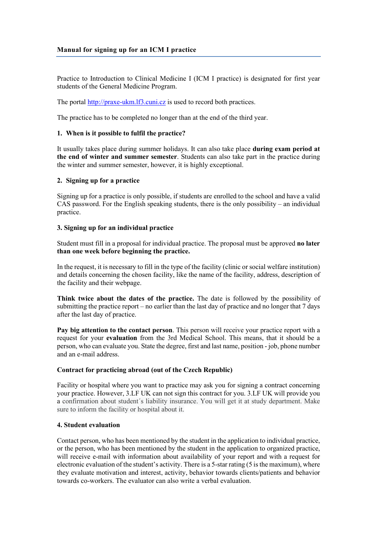# **Manual for signing up for an ICM I practice**

Practice to Introduction to Clinical Medicine I (ICM I practice) is designated for first year students of the General Medicine Program.

The portal [http://praxe-ukm.lf3.cuni.cz](http://praxe-ukm.lf3.cuni.cz/) is used to record both practices.

The practice has to be completed no longer than at the end of the third year.

#### **1. When is it possible to fulfil the practice?**

It usually takes place during summer holidays. It can also take place **during exam period at the end of winter and summer semester**. Students can also take part in the practice during the winter and summer semester, however, it is highly exceptional.

#### **2. Signing up for a practice**

Signing up for a practice is only possible, if students are enrolled to the school and have a valid CAS password. For the English speaking students, there is the only possibility – an individual practice.

### **3. Signing up for an individual practice**

Student must fill in a proposal for individual practice. The proposal must be approved **no later than one week before beginning the practice.**

In the request, it is necessary to fill in the type of the facility (clinic or social welfare institution) and details concerning the chosen facility, like the name of the facility, address, description of the facility and their webpage.

**Think twice about the dates of the practice.** The date is followed by the possibility of submitting the practice report – no earlier than the last day of practice and no longer that 7 days after the last day of practice.

**Pay big attention to the contact person**. This person will receive your practice report with a request for your **evaluation** from the 3rd Medical School. This means, that it should be a person, who can evaluate you. State the degree, first and last name, position - job, phone number and an e-mail address.

### **Contract for practicing abroad (out of the Czech Republic)**

Facility or hospital where you want to practice may ask you for signing a contract concerning your practice. However, 3.LF UK can not sign this contract for you. 3.LF UK will provide you a confirmation about student´s liability insurance. You will get it at study department. Make sure to inform the facility or hospital about it.

### **4. Student evaluation**

Contact person, who has been mentioned by the student in the application to individual practice, or the person, who has been mentioned by the student in the application to organized practice, will receive e-mail with information about availability of your report and with a request for electronic evaluation of the student's activity. There is a 5-star rating (5 is the maximum), where they evaluate motivation and interest, activity, behavior towards clients/patients and behavior towards co-workers. The evaluator can also write a verbal evaluation.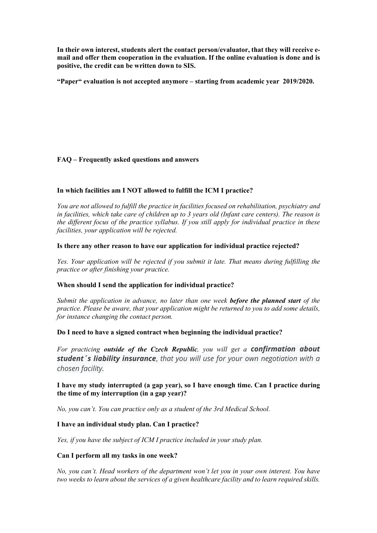**In their own interest, students alert the contact person/evaluator, that they will receive email and offer them cooperation in the evaluation. If the online evaluation is done and is positive, the credit can be written down to SIS.**

**"Paper" evaluation is not accepted anymore – starting from academic year 2019/2020.** 

# **FAQ – Frequently asked questions and answers**

# **In which facilities am I NOT allowed to fulfill the ICM I practice?**

*You are not allowed to fulfill the practice in facilities focused on rehabilitation, psychiatry and in facilities, which take care of children up to 3 years old (Infant care centers). The reason is the different focus of the practice syllabus. If you still apply for individual practice in these facilities, your application will be rejected.*

## **Is there any other reason to have our application for individual practice rejected?**

*Yes. Your application will be rejected if you submit it late. That means during fulfilling the practice or after finishing your practice.*

### **When should I send the application for individual practice?**

*Submit the application in advance, no later than one week before the planned start of the practice. Please be aware, that your application might be returned to you to add some details, for instance changing the contact person.*

### **Do I need to have a signed contract when beginning the individual practice?**

*For practicing outside of the Czech Republic, you will get a confirmation about student´s liability insurance*, *that you will use for your own negotiation with a chosen facility.*

# **I have my study interrupted (a gap year), so I have enough time. Can I practice during the time of my interruption (in a gap year)?**

*No, you can't. You can practice only as a student of the 3rd Medical School.*

### **I have an individual study plan. Can I practice?**

*Yes, if you have the subject of ICM I practice included in your study plan.*

### **Can I perform all my tasks in one week?**

*No, you can't. Head workers of the department won't let you in your own interest. You have two weeks to learn about the services of a given healthcare facility and to learn required skills.*